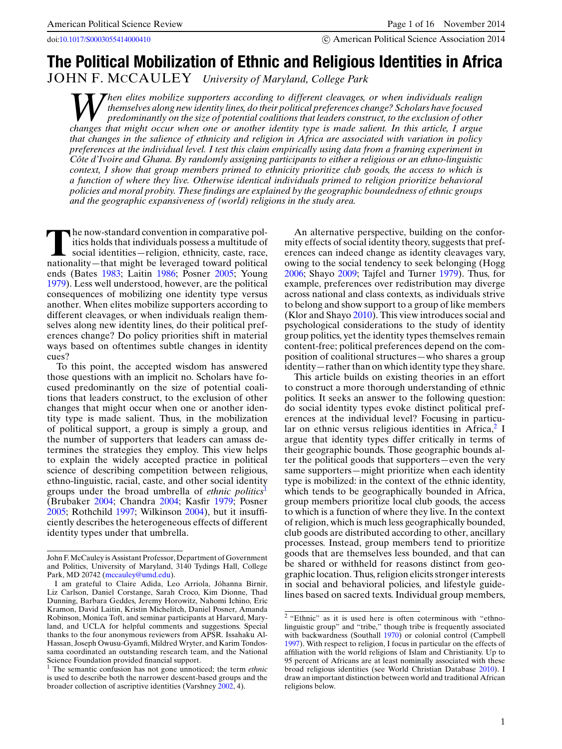c American Political Science Association 2014

# **The Political Mobilization of Ethnic and Religious Identities in Africa**

JOHN F. MCCAULEY *University of Maryland, College Park*

*When elites mobilize supporters according to different cleavages, or when individuals realign themselves along new identity lines, do their political preferences change? Scholars have focused predominantly on the size of potential coalitions that leaders construct, to the exclusion of other changes that might occur when one or another identity type is made salient. In this article, I argue that changes in the salience of ethnicity and religion in Africa are associated with variation in policy preferences at the individual level. I test this claim empirically using data from a framing experiment in Cote d'Ivoire and Ghana. By randomly assigning participants to either a religious or an ethno-linguistic ˆ context, I show that group members primed to ethnicity prioritize club goods, the access to which is a function of where they live. Otherwise identical individuals primed to religion prioritize behavioral policies and moral probity. These findings are explained by the geographic boundedness of ethnic groups and the geographic expansiveness of (world) religions in the study area.*

The now-standard convention in comparative politics holds that individuals possess a multitude of social identities—religion, ethnicity, caste, race, nationality—that might be leveraged toward political itics holds that individuals possess a multitude of social identities—religion, ethnicity, caste, race, nationality—that might be leveraged toward political ends (Bates [1983;](#page-14-0) Laitin [1986;](#page-14-0) Posner [2005;](#page-14-0) Young [1979\)](#page-15-0). Less well understood, however, are the political consequences of mobilizing one identity type versus another. When elites mobilize supporters according to different cleavages, or when individuals realign themselves along new identity lines, do their political preferences change? Do policy priorities shift in material ways based on oftentimes subtle changes in identity cues?

To this point, the accepted wisdom has answered those questions with an implicit no. Scholars have focused predominantly on the size of potential coalitions that leaders construct, to the exclusion of other changes that might occur when one or another identity type is made salient. Thus, in the mobilization of political support, a group is simply a group, and the number of supporters that leaders can amass determines the strategies they employ. This view helps to explain the widely accepted practice in political science of describing competition between religious, ethno-linguistic, racial, caste, and other social identity groups under the broad umbrella of *ethnic politics*<sup>1</sup> (Brubaker [2004;](#page-14-0) Chandra [2004;](#page-14-0) Kasfir [1979;](#page-14-0) Posner [2005;](#page-14-0) Rothchild [1997;](#page-14-0) Wilkinson [2004\)](#page-15-0), but it insufficiently describes the heterogeneous effects of different identity types under that umbrella.

An alternative perspective, building on the conformity effects of social identity theory, suggests that preferences can indeed change as identity cleavages vary, owing to the social tendency to seek belonging (Hogg [2006;](#page-14-0) Shayo [2009;](#page-15-0) Tajfel and Turner [1979\)](#page-15-0). Thus, for example, preferences over redistribution may diverge across national and class contexts, as individuals strive to belong and show support to a group of like members (Klor and Shayo [2010\)](#page-14-0). This view introduces social and psychological considerations to the study of identity group politics, yet the identity types themselves remain content-free; political preferences depend on the composition of coalitional structures—who shares a group identity—rather than on which identity type they share.

This article builds on existing theories in an effort to construct a more thorough understanding of ethnic politics. It seeks an answer to the following question: do social identity types evoke distinct political preferences at the individual level? Focusing in particular on ethnic versus religious identities in Africa, $2 \text{ I}$ argue that identity types differ critically in terms of their geographic bounds. Those geographic bounds alter the political goods that supporters—even the very same supporters—might prioritize when each identity type is mobilized: in the context of the ethnic identity, which tends to be geographically bounded in Africa, group members prioritize local club goods, the access to which is a function of where they live. In the context of religion, which is much less geographically bounded, club goods are distributed according to other, ancillary processes. Instead, group members tend to prioritize goods that are themselves less bounded, and that can be shared or withheld for reasons distinct from geographic location. Thus, religion elicits stronger interests in social and behavioral policies, and lifestyle guidelines based on sacred texts. Individual group members,

John F.McCauley is Assistant Professor, Department of Government and Politics, University of Maryland, 3140 Tydings Hall, College Park, MD 20742 [\(mccauley@umd.edu\)](mailto:mccauley@umd.edu).

I am grateful to Claire Adida, Leo Arriola, Johanna Birnir, ´ Liz Carlson, Daniel Corstange, Sarah Croco, Kim Dionne, Thad Dunning, Barbara Geddes, Jeremy Horowitz, Nahomi Ichino, Eric Kramon, David Laitin, Kristin Michelitch, Daniel Posner, Amanda Robinson, Monica Toft, and seminar participants at Harvard, Maryland, and UCLA for helpful comments and suggestions. Special thanks to the four anonymous reviewers from APSR. Issahaku Al-Hassan, Joseph Owusu-Gyamfi, Mildred Wryter, and Karim Tondossama coordinated an outstanding research team, and the National Science Foundation provided financial support.

<sup>1</sup> The semantic confusion has not gone unnoticed; the term *ethnic* is used to describe both the narrower descent-based groups and the broader collection of ascriptive identities (Varshney [2002,](#page-15-0) 4).

<sup>2</sup> "Ethnic" as it is used here is often coterminous with "ethnolinguistic group" and "tribe," though tribe is frequently associated with backwardness (Southall [1970\)](#page-15-0) or colonial control (Campbell [1997\)](#page-14-0). With respect to religion, I focus in particular on the effects of affiliation with the world religions of Islam and Christianity. Up to 95 percent of Africans are at least nominally associated with these broad religious identities (see World Christian Database [2010\)](#page-15-0). I draw an important distinction between world and traditional African religions below.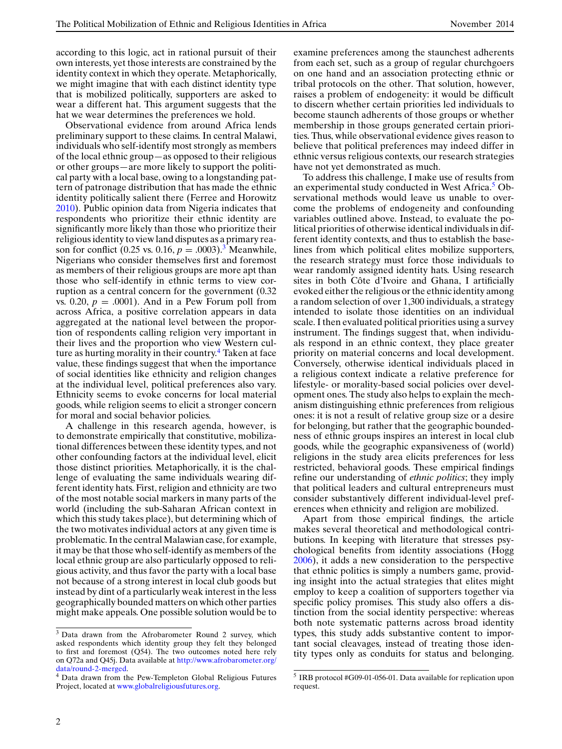according to this logic, act in rational pursuit of their own interests, yet those interests are constrained by the identity context in which they operate. Metaphorically, we might imagine that with each distinct identity type that is mobilized politically, supporters are asked to wear a different hat. This argument suggests that the hat we wear determines the preferences we hold.

Observational evidence from around Africa lends preliminary support to these claims. In central Malawi, individuals who self-identify most strongly as members of the local ethnic group—as opposed to their religious or other groups—are more likely to support the political party with a local base, owing to a longstanding pattern of patronage distribution that has made the ethnic identity politically salient there (Ferree and Horowitz [2010\)](#page-14-0). Public opinion data from Nigeria indicates that respondents who prioritize their ethnic identity are significantly more likely than those who prioritize their religious identity to view land disputes as a primary reason for conflict (0.25 vs. 0.16,  $p = .0003$ ).<sup>3</sup> Meanwhile, Nigerians who consider themselves first and foremost as members of their religious groups are more apt than those who self-identify in ethnic terms to view corruption as a central concern for the government (0.32 vs. 0.20,  $p = .0001$ ). And in a Pew Forum poll from across Africa, a positive correlation appears in data aggregated at the national level between the proportion of respondents calling religion very important in their lives and the proportion who view Western culture as hurting morality in their country.<sup>4</sup> Taken at face value, these findings suggest that when the importance of social identities like ethnicity and religion changes at the individual level, political preferences also vary. Ethnicity seems to evoke concerns for local material goods, while religion seems to elicit a stronger concern for moral and social behavior policies.

A challenge in this research agenda, however, is to demonstrate empirically that constitutive, mobilizational differences between these identity types, and not other confounding factors at the individual level, elicit those distinct priorities. Metaphorically, it is the challenge of evaluating the same individuals wearing different identity hats. First, religion and ethnicity are two of the most notable social markers in many parts of the world (including the sub-Saharan African context in which this study takes place), but determining which of the two motivates individual actors at any given time is problematic. In the central Malawian case, for example, it may be that those who self-identify as members of the local ethnic group are also particularly opposed to religious activity, and thus favor the party with a local base not because of a strong interest in local club goods but instead by dint of a particularly weak interest in the less geographically bounded matters on which other parties might make appeals. One possible solution would be to examine preferences among the staunchest adherents from each set, such as a group of regular churchgoers on one hand and an association protecting ethnic or tribal protocols on the other. That solution, however, raises a problem of endogeneity: it would be difficult to discern whether certain priorities led individuals to become staunch adherents of those groups or whether membership in those groups generated certain priorities. Thus, while observational evidence gives reason to believe that political preferences may indeed differ in ethnic versus religious contexts, our research strategies have not yet demonstrated as much.

To address this challenge, I make use of results from an experimental study conducted in West Africa.<sup>5</sup> Observational methods would leave us unable to overcome the problems of endogeneity and confounding variables outlined above. Instead, to evaluate the political priorities of otherwise identical individuals in different identity contexts, and thus to establish the baselines from which political elites mobilize supporters, the research strategy must force those individuals to wear randomly assigned identity hats. Using research sites in both Côte d'Ivoire and Ghana, I artificially evoked either the religious or the ethnic identity among a random selection of over 1,300 individuals, a strategy intended to isolate those identities on an individual scale. I then evaluated political priorities using a survey instrument. The findings suggest that, when individuals respond in an ethnic context, they place greater priority on material concerns and local development. Conversely, otherwise identical individuals placed in a religious context indicate a relative preference for lifestyle- or morality-based social policies over development ones. The study also helps to explain the mechanism distinguishing ethnic preferences from religious ones: it is not a result of relative group size or a desire for belonging, but rather that the geographic boundedness of ethnic groups inspires an interest in local club goods, while the geographic expansiveness of (world) religions in the study area elicits preferences for less restricted, behavioral goods. These empirical findings refine our understanding of *ethnic politics*; they imply that political leaders and cultural entrepreneurs must consider substantively different individual-level preferences when ethnicity and religion are mobilized.

Apart from those empirical findings, the article makes several theoretical and methodological contributions. In keeping with literature that stresses psychological benefits from identity associations (Hogg [2006\)](#page-14-0), it adds a new consideration to the perspective that ethnic politics is simply a numbers game, providing insight into the actual strategies that elites might employ to keep a coalition of supporters together via specific policy promises. This study also offers a distinction from the social identity perspective: whereas both note systematic patterns across broad identity types, this study adds substantive content to important social cleavages, instead of treating those identity types only as conduits for status and belonging.

<sup>3</sup> Data drawn from the Afrobarometer Round 2 survey, which asked respondents which identity group they felt they belonged to first and foremost (Q54). The two outcomes noted here rely on Q72a and Q45j. Data available at [http://www.afrobarometer.org/](http://www.afrobarometer.org/data/round-2-merged)

 $4$  Data drawn from the Pew-Templeton Global Religious Futures Project, located at [www.globalreligiousfutures.org.](http://www.globalreligiousfutures.org)

<sup>5</sup> IRB protocol #G09-01-056-01. Data available for replication upon request.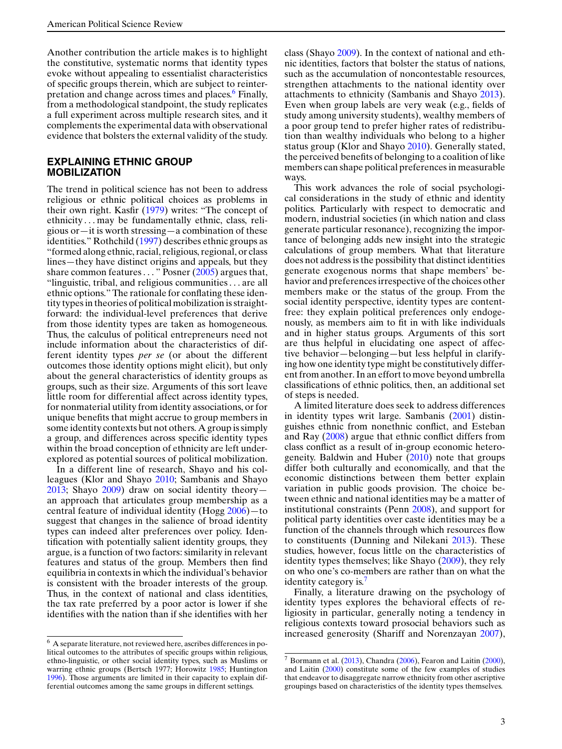Another contribution the article makes is to highlight the constitutive, systematic norms that identity types evoke without appealing to essentialist characteristics of specific groups therein, which are subject to reinterpretation and change across times and places.<sup>6</sup> Finally, from a methodological standpoint, the study replicates a full experiment across multiple research sites, and it complements the experimental data with observational evidence that bolsters the external validity of the study.

#### **EXPLAINING ETHNIC GROUP MOBILIZATION**

The trend in political science has not been to address religious or ethnic political choices as problems in their own right. Kasfir [\(1979\)](#page-14-0) writes: "The concept of ethnicity . . . may be fundamentally ethnic, class, religious or—it is worth stressing—a combination of these identities." Rothchild [\(1997\)](#page-14-0) describes ethnic groups as "formed along ethnic, racial, religious, regional, or class lines—they have distinct origins and appeals, but they share common features . . . " Posner [\(2005\)](#page-14-0) argues that, "linguistic, tribal, and religious communities . . . are all ethnic options." The rationale for conflating these identity types in theories of political mobilization is straightforward: the individual-level preferences that derive from those identity types are taken as homogeneous. Thus, the calculus of political entrepreneurs need not include information about the characteristics of different identity types *per se* (or about the different outcomes those identity options might elicit), but only about the general characteristics of identity groups as groups, such as their size. Arguments of this sort leave little room for differential affect across identity types, for nonmaterial utility from identity associations, or for unique benefits that might accrue to group members in some identity contexts but not others. A group is simply a group, and differences across specific identity types within the broad conception of ethnicity are left underexplored as potential sources of political mobilization.

In a different line of research, Shayo and his colleagues (Klor and Shayo [2010;](#page-14-0) Sambanis and Shayo [2013;](#page-15-0) Shayo [2009\)](#page-15-0) draw on social identity theory an approach that articulates group membership as a central feature of individual identity (Hogg [2006\)](#page-14-0)—to suggest that changes in the salience of broad identity types can indeed alter preferences over policy. Identification with potentially salient identity groups, they argue, is a function of two factors: similarity in relevant features and status of the group. Members then find equilibria in contexts in which the individual's behavior is consistent with the broader interests of the group. Thus, in the context of national and class identities, the tax rate preferred by a poor actor is lower if she identifies with the nation than if she identifies with her

class (Shayo [2009\)](#page-15-0). In the context of national and ethnic identities, factors that bolster the status of nations, such as the accumulation of noncontestable resources, strengthen attachments to the national identity over attachments to ethnicity (Sambanis and Shayo [2013\)](#page-15-0). Even when group labels are very weak (e.g., fields of study among university students), wealthy members of a poor group tend to prefer higher rates of redistribution than wealthy individuals who belong to a higher status group (Klor and Shayo [2010\)](#page-14-0). Generally stated, the perceived benefits of belonging to a coalition of like members can shape political preferences in measurable ways.

This work advances the role of social psychological considerations in the study of ethnic and identity politics. Particularly with respect to democratic and modern, industrial societies (in which nation and class generate particular resonance), recognizing the importance of belonging adds new insight into the strategic calculations of group members. What that literature does not address is the possibility that distinct identities generate exogenous norms that shape members' behavior and preferences irrespective of the choices other members make or the status of the group. From the social identity perspective, identity types are contentfree: they explain political preferences only endogenously, as members aim to fit in with like individuals and in higher status groups. Arguments of this sort are thus helpful in elucidating one aspect of affective behavior—belonging—but less helpful in clarifying how one identity type might be constitutively different from another. In an effort to move beyond umbrella classifications of ethnic politics, then, an additional set of steps is needed.

A limited literature does seek to address differences in identity types writ large. Sambanis [\(2001\)](#page-15-0) distinguishes ethnic from nonethnic conflict, and Esteban and Ray [\(2008\)](#page-14-0) argue that ethnic conflict differs from class conflict as a result of in-group economic heterogeneity. Baldwin and Huber [\(2010\)](#page-14-0) note that groups differ both culturally and economically, and that the economic distinctions between them better explain variation in public goods provision. The choice between ethnic and national identities may be a matter of institutional constraints (Penn [2008\)](#page-14-0), and support for political party identities over caste identities may be a function of the channels through which resources flow to constituents (Dunning and Nilekani [2013\)](#page-14-0). These studies, however, focus little on the characteristics of identity types themselves; like Shayo [\(2009\)](#page-15-0), they rely on who one's co-members are rather than on what the identity category is.<sup>7</sup>

Finally, a literature drawing on the psychology of identity types explores the behavioral effects of religiosity in particular, generally noting a tendency in religious contexts toward prosocial behaviors such as increased generosity (Shariff and Norenzayan [2007\)](#page-15-0),

 $6$  A separate literature, not reviewed here, ascribes differences in political outcomes to the attributes of specific groups within religious, ethno-linguistic, or other social identity types, such as Muslims or warring ethnic groups (Bertsch 1977; Horowitz [1985;](#page-14-0) Huntington [1996\)](#page-14-0). Those arguments are limited in their capacity to explain differential outcomes among the same groups in different settings.

<sup>&</sup>lt;sup>7</sup> Bormann et al.  $(2013)$ , Chandra  $(2006)$ , Fearon and Laitin  $(2000)$ , and Laitin [\(2000\)](#page-14-0) constitute some of the few examples of studies that endeavor to disaggregate narrow ethnicity from other ascriptive groupings based on characteristics of the identity types themselves.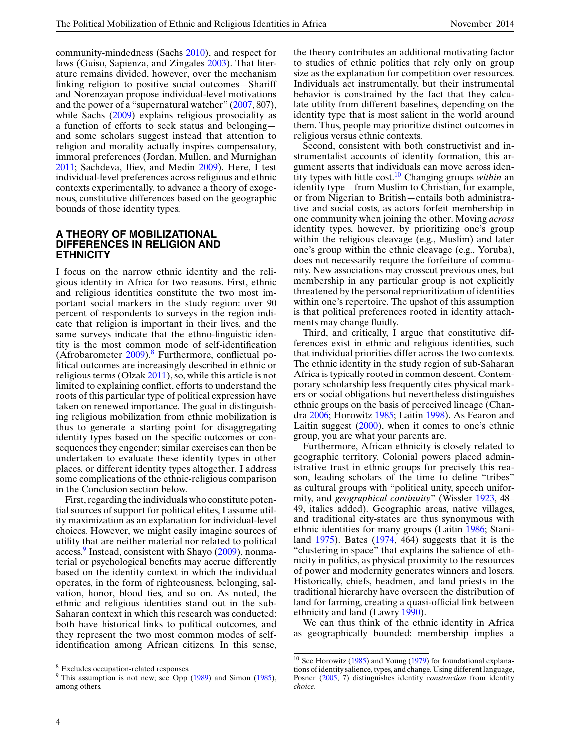community-mindedness (Sachs [2010\)](#page-14-0), and respect for laws (Guiso, Sapienza, and Zingales [2003\)](#page-14-0). That literature remains divided, however, over the mechanism linking religion to positive social outcomes—Shariff and Norenzayan propose individual-level motivations and the power of a "supernatural watcher" [\(2007,](#page-15-0) 807), while Sachs [\(2009\)](#page-14-0) explains religious prosociality as a function of efforts to seek status and belonging and some scholars suggest instead that attention to religion and morality actually inspires compensatory, immoral preferences (Jordan, Mullen, and Murnighan [2011;](#page-14-0) Sachdeva, Iliev, and Medin [2009\)](#page-14-0). Here, I test individual-level preferences across religious and ethnic contexts experimentally, to advance a theory of exogenous, constitutive differences based on the geographic bounds of those identity types.

#### **A THEORY OF MOBILIZATIONAL DIFFERENCES IN RELIGION AND ETHNICITY**

I focus on the narrow ethnic identity and the religious identity in Africa for two reasons. First, ethnic and religious identities constitute the two most important social markers in the study region: over 90 percent of respondents to surveys in the region indicate that religion is important in their lives, and the same surveys indicate that the ethno-linguistic identity is the most common mode of self-identification (Afrobarometer  $2009$ ).<sup>8</sup> Furthermore, conflictual political outcomes are increasingly described in ethnic or religious terms (Olzak [2011\)](#page-14-0), so, while this article is not limited to explaining conflict, efforts to understand the roots of this particular type of political expression have taken on renewed importance. The goal in distinguishing religious mobilization from ethnic mobilization is thus to generate a starting point for disaggregating identity types based on the specific outcomes or consequences they engender; similar exercises can then be undertaken to evaluate these identity types in other places, or different identity types altogether. I address some complications of the ethnic-religious comparison in the Conclusion section below.

First, regarding the individuals who constitute potential sources of support for political elites, I assume utility maximization as an explanation for individual-level choices. However, we might easily imagine sources of utility that are neither material nor related to political access.<sup>9</sup> Instead, consistent with Shayo  $(2009)$ , nonmaterial or psychological benefits may accrue differently based on the identity context in which the individual operates, in the form of righteousness, belonging, salvation, honor, blood ties, and so on. As noted, the ethnic and religious identities stand out in the sub-Saharan context in which this research was conducted: both have historical links to political outcomes, and they represent the two most common modes of selfidentification among African citizens. In this sense, the theory contributes an additional motivating factor to studies of ethnic politics that rely only on group size as the explanation for competition over resources. Individuals act instrumentally, but their instrumental behavior is constrained by the fact that they calculate utility from different baselines, depending on the identity type that is most salient in the world around them. Thus, people may prioritize distinct outcomes in religious versus ethnic contexts.

Second, consistent with both constructivist and instrumentalist accounts of identity formation, this argument asserts that individuals can move across identity types with little cost.<sup>10</sup> Changing groups *within* an identity type—from Muslim to Christian, for example, or from Nigerian to British—entails both administrative and social costs, as actors forfeit membership in one community when joining the other. Moving *across* identity types, however, by prioritizing one's group within the religious cleavage (e.g., Muslim) and later one's group within the ethnic cleavage (e.g., Yoruba), does not necessarily require the forfeiture of community. New associations may crosscut previous ones, but membership in any particular group is not explicitly threatened by the personal reprioritization of identities within one's repertoire. The upshot of this assumption is that political preferences rooted in identity attachments may change fluidly.

Third, and critically, I argue that constitutive differences exist in ethnic and religious identities, such that individual priorities differ across the two contexts. The ethnic identity in the study region of sub-Saharan Africa is typically rooted in common descent. Contemporary scholarship less frequently cites physical markers or social obligations but nevertheless distinguishes ethnic groups on the basis of perceived lineage (Chandra [2006;](#page-14-0) Horowitz [1985;](#page-14-0) Laitin [1998\)](#page-14-0). As Fearon and Laitin suggest [\(2000\)](#page-14-0), when it comes to one's ethnic group, you are what your parents are.

Furthermore, African ethnicity is closely related to geographic territory. Colonial powers placed administrative trust in ethnic groups for precisely this reason, leading scholars of the time to define "tribes" as cultural groups with "political unity, speech uniformity, and *geographical continuity*" (Wissler [1923,](#page-15-0) 48– 49, italics added). Geographic areas, native villages, and traditional city-states are thus synonymous with ethnic identities for many groups (Laitin [1986;](#page-14-0) Staniland  $1975$ ). Bates  $(1974, 464)$  $(1974, 464)$  suggests that it is the "clustering in space" that explains the salience of ethnicity in politics, as physical proximity to the resources of power and modernity generates winners and losers. Historically, chiefs, headmen, and land priests in the traditional hierarchy have overseen the distribution of land for farming, creating a quasi-official link between ethnicity and land (Lawry [1990\)](#page-14-0).

We can thus think of the ethnic identity in Africa as geographically bounded: membership implies a

<sup>8</sup> Excludes occupation-related responses.

 $9$  This assumption is not new; see Opp [\(1989\)](#page-14-0) and Simon [\(1985\)](#page-15-0), among others.

 $10$  See Horowitz [\(1985\)](#page-14-0) and Young [\(1979\)](#page-15-0) for foundational explanations of identity salience, types, and change. Using different language, Posner [\(2005,](#page-14-0) 7) distinguishes identity *construction* from identity *choice*.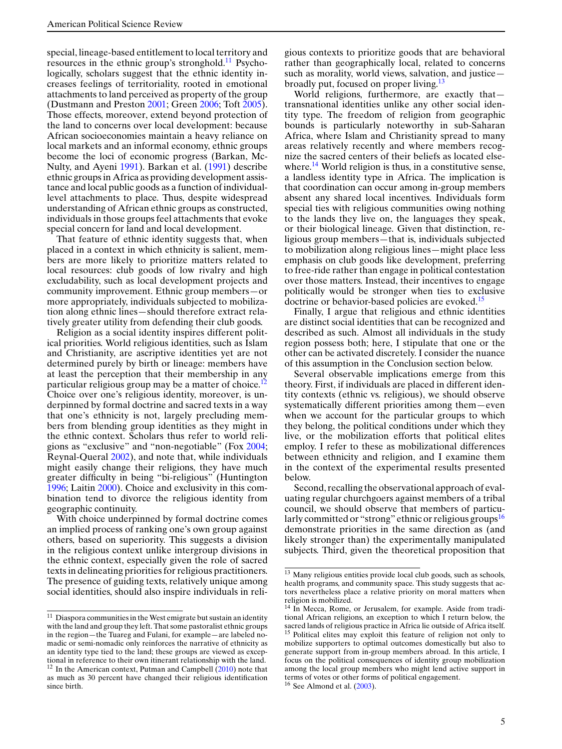special, lineage-based entitlement to local territory and resources in the ethnic group's stronghold.<sup>11</sup> Psychologically, scholars suggest that the ethnic identity increases feelings of territoriality, rooted in emotional attachments to land perceived as property of the group (Dustmann and Preston [2001;](#page-14-0) Green [2006;](#page-14-0) Toft [2005\)](#page-15-0). Those effects, moreover, extend beyond protection of the land to concerns over local development: because African socioeconomies maintain a heavy reliance on local markets and an informal economy, ethnic groups become the loci of economic progress (Barkan, Mc-Nulty, and Ayeni [1991\)](#page-14-0). Barkan et al. [\(1991\)](#page-14-0) describe ethnic groups in Africa as providing development assistance and local public goods as a function of individuallevel attachments to place. Thus, despite widespread understanding of African ethnic groups as constructed, individuals in those groups feel attachments that evoke special concern for land and local development.

That feature of ethnic identity suggests that, when placed in a context in which ethnicity is salient, members are more likely to prioritize matters related to local resources: club goods of low rivalry and high excludability, such as local development projects and community improvement. Ethnic group members—or more appropriately, individuals subjected to mobilization along ethnic lines—should therefore extract relatively greater utility from defending their club goods.

Religion as a social identity inspires different political priorities. World religious identities, such as Islam and Christianity, are ascriptive identities yet are not determined purely by birth or lineage: members have at least the perception that their membership in any particular religious group may be a matter of choice.<sup>12</sup> Choice over one's religious identity, moreover, is underpinned by formal doctrine and sacred texts in a way that one's ethnicity is not, largely precluding members from blending group identities as they might in the ethnic context. Scholars thus refer to world religions as "exclusive" and "non-negotiable" (Fox [2004;](#page-14-0) Reynal-Queral [2002\)](#page-14-0), and note that, while individuals might easily change their religions, they have much greater difficulty in being "bi-religious" (Huntington [1996;](#page-14-0) Laitin [2000\)](#page-14-0). Choice and exclusivity in this combination tend to divorce the religious identity from geographic continuity.

With choice underpinned by formal doctrine comes an implied process of ranking one's own group against others, based on superiority. This suggests a division in the religious context unlike intergroup divisions in the ethnic context, especially given the role of sacred texts in delineating priorities for religious practitioners. The presence of guiding texts, relatively unique among social identities, should also inspire individuals in religious contexts to prioritize goods that are behavioral rather than geographically local, related to concerns such as morality, world views, salvation, and justice broadly put, focused on proper living.<sup>13</sup>

World religions, furthermore, are exactly that transnational identities unlike any other social identity type. The freedom of religion from geographic bounds is particularly noteworthy in sub-Saharan Africa, where Islam and Christianity spread to many areas relatively recently and where members recognize the sacred centers of their beliefs as located elsewhere.<sup>14</sup> World religion is thus, in a constitutive sense, a landless identity type in Africa. The implication is that coordination can occur among in-group members absent any shared local incentives. Individuals form special ties with religious communities owing nothing to the lands they live on, the languages they speak, or their biological lineage. Given that distinction, religious group members—that is, individuals subjected to mobilization along religious lines—might place less emphasis on club goods like development, preferring to free-ride rather than engage in political contestation over those matters. Instead, their incentives to engage politically would be stronger when ties to exclusive doctrine or behavior-based policies are evoked.<sup>15</sup>

Finally, I argue that religious and ethnic identities are distinct social identities that can be recognized and described as such. Almost all individuals in the study region possess both; here, I stipulate that one or the other can be activated discretely. I consider the nuance of this assumption in the Conclusion section below.

Several observable implications emerge from this theory. First, if individuals are placed in different identity contexts (ethnic vs. religious), we should observe systematically different priorities among them—even when we account for the particular groups to which they belong, the political conditions under which they live, or the mobilization efforts that political elites employ. I refer to these as mobilizational differences between ethnicity and religion, and I examine them in the context of the experimental results presented below.

Second, recalling the observational approach of evaluating regular churchgoers against members of a tribal council, we should observe that members of particularly committed or "strong" ethnic or religious groups<sup>16</sup> demonstrate priorities in the same direction as (and likely stronger than) the experimentally manipulated subjects. Third, given the theoretical proposition that

 $^{11}$ Diaspora communities in the West emigrate but sustain an identity with the land and group they left. That some pastoralist ethnic groups in the region—the Tuareg and Fulani, for example—are labeled nomadic or semi-nomadic only reinforces the narrative of ethnicity as an identity type tied to the land; these groups are viewed as exceptional in reference to their own itinerant relationship with the land.  $12$  In the American context, Putman and Campbell  $(2010)$  note that

as much as 30 percent have changed their religious identification since birth.

<sup>&</sup>lt;sup>13</sup> Many religious entities provide local club goods, such as schools, health programs, and community space. This study suggests that actors nevertheless place a relative priority on moral matters when religion is mobilized.

<sup>&</sup>lt;sup>14</sup> In Mecca, Rome, or Jerusalem, for example. Aside from traditional African religions, an exception to which I return below, the sacred lands of religious practice in Africa lie outside of Africa itself. <sup>15</sup> Political elites may exploit this feature of religion not only to mobilize supporters to optimal outcomes domestically but also to generate support from in-group members abroad. In this article, I focus on the political consequences of identity group mobilization among the local group members who might lend active support in terms of votes or other forms of political engagement.  $16$  See Almond et al.  $(2003)$ .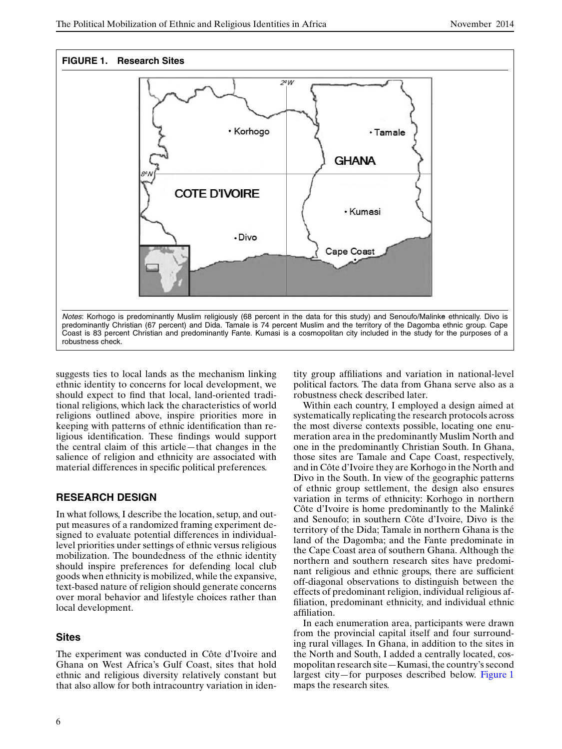

suggests ties to local lands as the mechanism linking ethnic identity to concerns for local development, we should expect to find that local, land-oriented traditional religions, which lack the characteristics of world religions outlined above, inspire priorities more in keeping with patterns of ethnic identification than religious identification. These findings would support the central claim of this article—that changes in the salience of religion and ethnicity are associated with material differences in specific political preferences.

# **RESEARCH DESIGN**

In what follows, I describe the location, setup, and output measures of a randomized framing experiment designed to evaluate potential differences in individuallevel priorities under settings of ethnic versus religious mobilization. The boundedness of the ethnic identity should inspire preferences for defending local club goods when ethnicity is mobilized, while the expansive, text-based nature of religion should generate concerns over moral behavior and lifestyle choices rather than local development.

# **Sites**

The experiment was conducted in Côte d'Ivoire and Ghana on West Africa's Gulf Coast, sites that hold ethnic and religious diversity relatively constant but that also allow for both intracountry variation in identity group affiliations and variation in national-level political factors. The data from Ghana serve also as a robustness check described later.

Within each country, I employed a design aimed at systematically replicating the research protocols across the most diverse contexts possible, locating one enumeration area in the predominantly Muslim North and one in the predominantly Christian South. In Ghana, those sites are Tamale and Cape Coast, respectively, and in Côte d'Ivoire they are Korhogo in the North and Divo in the South. In view of the geographic patterns of ethnic group settlement, the design also ensures variation in terms of ethnicity: Korhogo in northern Côte d'Ivoire is home predominantly to the Malinké and Senoufo; in southern Côte d'Ivoire, Divo is the territory of the Dida; Tamale in northern Ghana is the land of the Dagomba; and the Fante predominate in the Cape Coast area of southern Ghana. Although the northern and southern research sites have predominant religious and ethnic groups, there are sufficient off-diagonal observations to distinguish between the effects of predominant religion, individual religious affiliation, predominant ethnicity, and individual ethnic affiliation.

In each enumeration area, participants were drawn from the provincial capital itself and four surrounding rural villages. In Ghana, in addition to the sites in the North and South, I added a centrally located, cosmopolitan research site—Kumasi, the country's second largest city—for purposes described below. Figure 1 maps the research sites.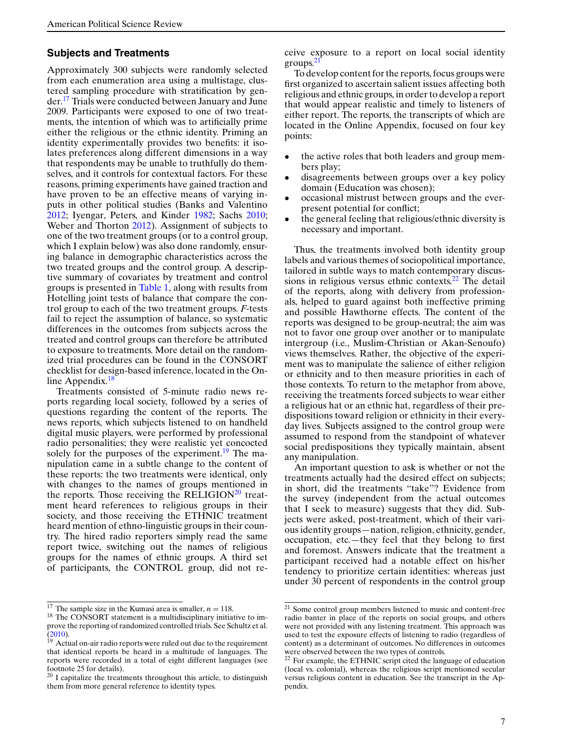#### **Subjects and Treatments**

Approximately 300 subjects were randomly selected from each enumeration area using a multistage, clustered sampling procedure with stratification by gender.<sup>17</sup> Trials were conducted between January and June 2009. Participants were exposed to one of two treatments, the intention of which was to artificially prime either the religious or the ethnic identity. Priming an identity experimentally provides two benefits: it isolates preferences along different dimensions in a way that respondents may be unable to truthfully do themselves, and it controls for contextual factors. For these reasons, priming experiments have gained traction and have proven to be an effective means of varying inputs in other political studies (Banks and Valentino [2012;](#page-14-0) Iyengar, Peters, and Kinder [1982;](#page-14-0) Sachs [2010;](#page-14-0) Weber and Thorton [2012\)](#page-15-0). Assignment of subjects to one of the two treatment groups (or to a control group, which I explain below) was also done randomly, ensuring balance in demographic characteristics across the two treated groups and the control group. A descriptive summary of covariates by treatment and control groups is presented in [Table 1,](#page-7-0) along with results from Hotelling joint tests of balance that compare the control group to each of the two treatment groups. *F*-tests fail to reject the assumption of balance, so systematic differences in the outcomes from subjects across the treated and control groups can therefore be attributed to exposure to treatments. More detail on the randomized trial procedures can be found in the CONSORT checklist for design-based inference, located in the Online Appendix.<sup>18</sup>

Treatments consisted of 5-minute radio news reports regarding local society, followed by a series of questions regarding the content of the reports. The news reports, which subjects listened to on handheld digital music players, were performed by professional radio personalities; they were realistic yet concocted solely for the purposes of the experiment.<sup>19</sup> The manipulation came in a subtle change to the content of these reports: the two treatments were identical, only with changes to the names of groups mentioned in the reports. Those receiving the RELIGION $^{20}$  treatment heard references to religious groups in their society, and those receiving the ETHNIC treatment heard mention of ethno-linguistic groups in their country. The hired radio reporters simply read the same report twice, switching out the names of religious groups for the names of ethnic groups. A third set of participants, the CONTROL group, did not receive exposure to a report on local social identity  $groups.<sup>21</sup>$ 

To develop content for the reports, focus groups were first organized to ascertain salient issues affecting both religious and ethnic groups, in order to develop a report that would appear realistic and timely to listeners of either report. The reports, the transcripts of which are located in the Online Appendix, focused on four key points:

- the active roles that both leaders and group members play;
- disagreements between groups over a key policy domain (Education was chosen);
- occasional mistrust between groups and the everpresent potential for conflict;
- the general feeling that religious/ethnic diversity is necessary and important.

Thus, the treatments involved both identity group labels and various themes of sociopolitical importance, tailored in subtle ways to match contemporary discussions in religious versus ethnic contexts.<sup>22</sup> The detail of the reports, along with delivery from professionals, helped to guard against both ineffective priming and possible Hawthorne effects. The content of the reports was designed to be group-neutral; the aim was not to favor one group over another or to manipulate intergroup (i.e., Muslim-Christian or Akan-Senoufo) views themselves. Rather, the objective of the experiment was to manipulate the salience of either religion or ethnicity and to then measure priorities in each of those contexts. To return to the metaphor from above, receiving the treatments forced subjects to wear either a religious hat or an ethnic hat, regardless of their predispositions toward religion or ethnicity in their everyday lives. Subjects assigned to the control group were assumed to respond from the standpoint of whatever social predispositions they typically maintain, absent any manipulation.

An important question to ask is whether or not the treatments actually had the desired effect on subjects; in short, did the treatments "take"? Evidence from the survey (independent from the actual outcomes that I seek to measure) suggests that they did. Subjects were asked, post-treatment, which of their various identity groups—nation, religion, ethnicity, gender, occupation, etc.—they feel that they belong to first and foremost. Answers indicate that the treatment a participant received had a notable effect on his/her tendency to prioritize certain identities: whereas just under 30 percent of respondents in the control group

<sup>&</sup>lt;sup>17</sup> The sample size in the Kumasi area is smaller,  $n = 118$ .<br><sup>18</sup> The CONSORT statement is a multidisciplinary initiative to improve the reporting of randomized controlled trials. See Schultz et al.

 $(2010)$ .<br><sup>19</sup> Actual on-air radio reports were ruled out due to the requirement that identical reports be heard in a multitude of languages. The reports were recorded in a total of eight different languages (see footnote 25 for details).

 $20$  I capitalize the treatments throughout this article, to distinguish them from more general reference to identity types.

<sup>21</sup> Some control group members listened to music and content-free radio banter in place of the reports on social groups, and others were not provided with any listening treatment. This approach was used to test the exposure effects of listening to radio (regardless of content) as a determinant of outcomes. No differences in outcomes were observed between the two types of controls.

<sup>&</sup>lt;sup>22</sup> For example, the ETHNIC script cited the language of education (local vs. colonial), whereas the religious script mentioned secular versus religious content in education. See the transcript in the Appendix.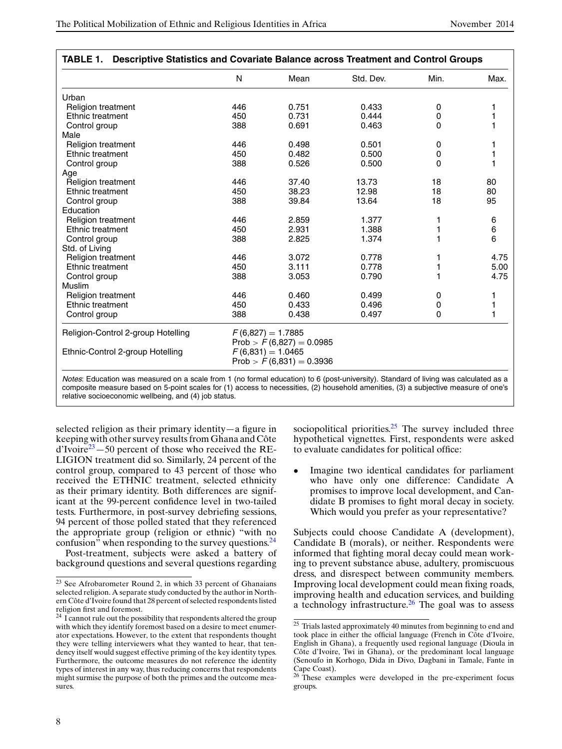<span id="page-7-0"></span>

|                                    | N   | Mean                                              | Std. Dev. | Min.     | Max.  |  |
|------------------------------------|-----|---------------------------------------------------|-----------|----------|-------|--|
| Urban                              |     |                                                   |           |          |       |  |
| <b>Religion treatment</b>          | 446 | 0.751                                             | 0.433     | 0        | 1     |  |
| Ethnic treatment                   | 450 | 0.731                                             | 0.444     | 0        | 1     |  |
| Control group                      | 388 | 0.691                                             | 0.463     | $\Omega$ |       |  |
| Male                               |     |                                                   |           |          |       |  |
| Religion treatment                 | 446 | 0.498                                             | 0.501     | 0        | 1     |  |
| Ethnic treatment                   | 450 | 0.482                                             | 0.500     | 0        | 1     |  |
| Control group                      | 388 | 0.526                                             | 0.500     | $\Omega$ | 1     |  |
| Age                                |     |                                                   |           |          |       |  |
| Religion treatment                 | 446 | 37.40                                             | 13.73     | 18       | 80    |  |
| Ethnic treatment                   | 450 | 38.23                                             | 12.98     | 18       | 80    |  |
| Control group                      | 388 | 39.84                                             | 13.64     | 18       | 95    |  |
| Education                          |     |                                                   |           |          |       |  |
| <b>Religion treatment</b>          | 446 | 2.859                                             | 1.377     |          | 6     |  |
| Ethnic treatment                   | 450 | 2.931                                             | 1.388     |          | $\,6$ |  |
| Control group                      | 388 | 2.825                                             | 1.374     |          | 6     |  |
| Std. of Living                     |     |                                                   |           |          |       |  |
| <b>Religion treatment</b>          | 446 | 3.072                                             | 0.778     |          | 4.75  |  |
| Ethnic treatment                   | 450 | 3.111                                             | 0.778     |          | 5.00  |  |
| Control group                      | 388 | 3.053                                             | 0.790     |          | 4.75  |  |
| <b>Muslim</b>                      |     |                                                   |           |          |       |  |
| <b>Religion treatment</b>          | 446 | 0.460                                             | 0.499     | 0        | 1     |  |
| Ethnic treatment                   | 450 | 0.433                                             | 0.496     | 0        | 1     |  |
| Control group                      | 388 | 0.438                                             | 0.497     | 0        | 1     |  |
| Religion-Control 2-group Hotelling |     | $F(6,827) = 1.7885$<br>Prob > $F(6,827) = 0.0985$ |           |          |       |  |
| Ethnic-Control 2-group Hotelling   |     | $F(6,831) = 1.0465$<br>Prob > $F(6,831) = 0.3936$ |           |          |       |  |

### **TABLE 1. Descriptive Statistics and Covariate Balance across Treatment and Control Groups**

*Notes*: Education was measured on a scale from 1 (no formal education) to 6 (post-university). Standard of living was calculated as a composite measure based on 5-point scales for (1) access to necessities, (2) household amenities, (3) a subjective measure of one's relative socioeconomic wellbeing, and (4) job status.

selected religion as their primary identity—a figure in keeping with other survey results from Ghana and Côte  $d'Ivoire^{23} - 50$  percent of those who received the RE-LIGION treatment did so. Similarly, 24 percent of the control group, compared to 43 percent of those who received the ETHNIC treatment, selected ethnicity as their primary identity. Both differences are significant at the 99-percent confidence level in two-tailed tests. Furthermore, in post-survey debriefing sessions, 94 percent of those polled stated that they referenced the appropriate group (religion or ethnic) "with no confusion" when responding to the survey questions. $^{24}$ 

Post-treatment, subjects were asked a battery of background questions and several questions regarding sociopolitical priorities. $25$  The survey included three hypothetical vignettes. First, respondents were asked to evaluate candidates for political office:

Imagine two identical candidates for parliament who have only one difference: Candidate A promises to improve local development, and Candidate B promises to fight moral decay in society. Which would you prefer as your representative?

Subjects could choose Candidate A (development), Candidate B (morals), or neither. Respondents were informed that fighting moral decay could mean working to prevent substance abuse, adultery, promiscuous dress, and disrespect between community members. Improving local development could mean fixing roads, improving health and education services, and building a technology infrastructure. $26$  The goal was to assess

<sup>23</sup> See Afrobarometer Round 2, in which 33 percent of Ghanaians selected religion. A separate study conducted by the author in Northern Côte d'Ivoire found that 28 percent of selected respondents listed

religion first and foremost. <sup>24</sup> I cannot rule out the possibility that respondents altered the group with which they identify foremost based on a desire to meet enumerator expectations. However, to the extent that respondents thought they were telling interviewers what they wanted to hear, that tendency itself would suggest effective priming of the key identity types. Furthermore, the outcome measures do not reference the identity types of interest in any way, thus reducing concerns that respondents might surmise the purpose of both the primes and the outcome measures.

<sup>25</sup> Trials lasted approximately 40 minutes from beginning to end and took place in either the official language (French in Côte d'Ivoire, English in Ghana), a frequently used regional language (Dioula in Côte d'Ivoire, Twi in Ghana), or the predominant local language (Senoufo in Korhogo, Dida in Divo, Dagbani in Tamale, Fante in Cape Coast).

<sup>&</sup>lt;sup>26</sup> These examples were developed in the pre-experiment focus groups.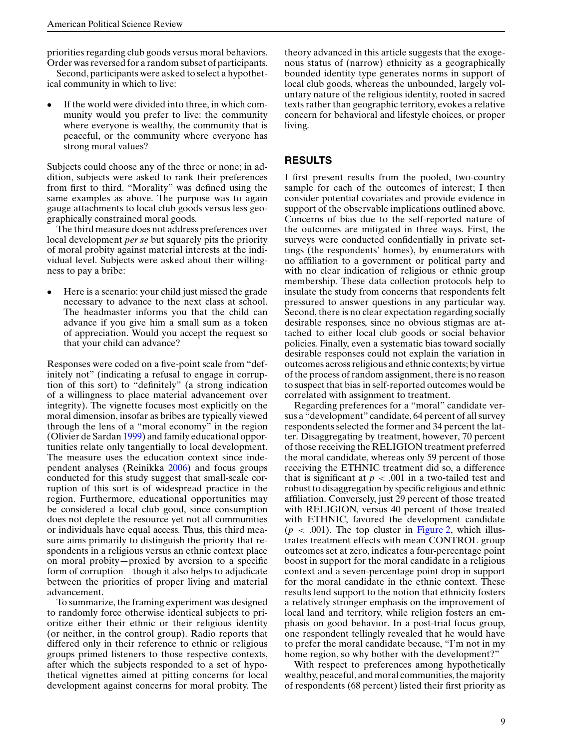priorities regarding club goods versus moral behaviors. Order was reversed for a random subset of participants.

Second, participants were asked to select a hypothetical community in which to live:

If the world were divided into three, in which community would you prefer to live: the community where everyone is wealthy, the community that is peaceful, or the community where everyone has strong moral values?

Subjects could choose any of the three or none; in addition, subjects were asked to rank their preferences from first to third. "Morality" was defined using the same examples as above. The purpose was to again gauge attachments to local club goods versus less geographically constrained moral goods.

The third measure does not address preferences over local development *per se* but squarely pits the priority of moral probity against material interests at the individual level. Subjects were asked about their willingness to pay a bribe:

• Here is a scenario: your child just missed the grade necessary to advance to the next class at school. The headmaster informs you that the child can advance if you give him a small sum as a token of appreciation. Would you accept the request so that your child can advance?

Responses were coded on a five-point scale from "definitely not" (indicating a refusal to engage in corruption of this sort) to "definitely" (a strong indication of a willingness to place material advancement over integrity). The vignette focuses most explicitly on the moral dimension, insofar as bribes are typically viewed through the lens of a "moral economy" in the region (Olivier de Sardan [1999\)](#page-14-0) and family educational opportunities relate only tangentially to local development. The measure uses the education context since independent analyses (Reinikka [2006\)](#page-14-0) and focus groups conducted for this study suggest that small-scale corruption of this sort is of widespread practice in the region. Furthermore, educational opportunities may be considered a local club good, since consumption does not deplete the resource yet not all communities or individuals have equal access. Thus, this third measure aims primarily to distinguish the priority that respondents in a religious versus an ethnic context place on moral probity—proxied by aversion to a specific form of corruption—though it also helps to adjudicate between the priorities of proper living and material advancement.

To summarize, the framing experiment was designed to randomly force otherwise identical subjects to prioritize either their ethnic or their religious identity (or neither, in the control group). Radio reports that differed only in their reference to ethnic or religious groups primed listeners to those respective contexts, after which the subjects responded to a set of hypothetical vignettes aimed at pitting concerns for local development against concerns for moral probity. The

theory advanced in this article suggests that the exogenous status of (narrow) ethnicity as a geographically bounded identity type generates norms in support of local club goods, whereas the unbounded, largely voluntary nature of the religious identity, rooted in sacred texts rather than geographic territory, evokes a relative concern for behavioral and lifestyle choices, or proper living.

#### **RESULTS**

I first present results from the pooled, two-country sample for each of the outcomes of interest; I then consider potential covariates and provide evidence in support of the observable implications outlined above. Concerns of bias due to the self-reported nature of the outcomes are mitigated in three ways. First, the surveys were conducted confidentially in private settings (the respondents' homes), by enumerators with no affiliation to a government or political party and with no clear indication of religious or ethnic group membership. These data collection protocols help to insulate the study from concerns that respondents felt pressured to answer questions in any particular way. Second, there is no clear expectation regarding socially desirable responses, since no obvious stigmas are attached to either local club goods or social behavior policies. Finally, even a systematic bias toward socially desirable responses could not explain the variation in outcomes across religious and ethnic contexts; by virtue of the process of random assignment, there is no reason to suspect that bias in self-reported outcomes would be correlated with assignment to treatment.

Regarding preferences for a "moral" candidate versus a "development" candidate, 64 percent of all survey respondents selected the former and 34 percent the latter. Disaggregating by treatment, however, 70 percent of those receiving the RELIGION treatment preferred the moral candidate, whereas only 59 percent of those receiving the ETHNIC treatment did so, a difference that is significant at  $p < .001$  in a two-tailed test and robust to disaggregation by specific religious and ethnic affiliation. Conversely, just 29 percent of those treated with RELIGION, versus 40 percent of those treated with ETHNIC, favored the development candidate  $(p < .001)$ . The top cluster in [Figure 2,](#page-9-0) which illustrates treatment effects with mean CONTROL group outcomes set at zero, indicates a four-percentage point boost in support for the moral candidate in a religious context and a seven-percentage point drop in support for the moral candidate in the ethnic context. These results lend support to the notion that ethnicity fosters a relatively stronger emphasis on the improvement of local land and territory, while religion fosters an emphasis on good behavior. In a post-trial focus group, one respondent tellingly revealed that he would have to prefer the moral candidate because, "I'm not in my home region, so why bother with the development?"

With respect to preferences among hypothetically wealthy, peaceful, and moral communities, the majority of respondents (68 percent) listed their first priority as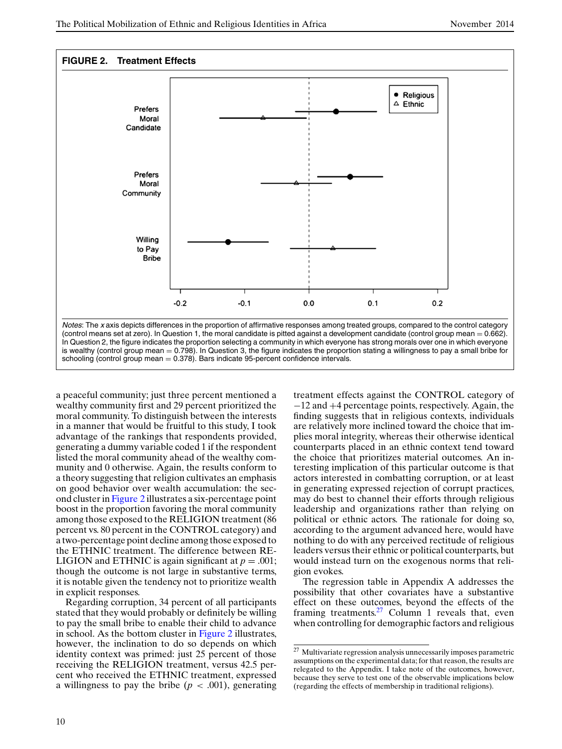<span id="page-9-0"></span>

a peaceful community; just three percent mentioned a wealthy community first and 29 percent prioritized the moral community. To distinguish between the interests in a manner that would be fruitful to this study, I took advantage of the rankings that respondents provided, generating a dummy variable coded 1 if the respondent listed the moral community ahead of the wealthy community and 0 otherwise. Again, the results conform to a theory suggesting that religion cultivates an emphasis on good behavior over wealth accumulation: the second cluster in Figure 2 illustrates a six-percentage point boost in the proportion favoring the moral community among those exposed to the RELIGION treatment (86 percent vs. 80 percent in the CONTROL category) and a two-percentage point decline among those exposed to the ETHNIC treatment. The difference between RE-LIGION and ETHNIC is again significant at  $p = .001$ ; though the outcome is not large in substantive terms, it is notable given the tendency not to prioritize wealth in explicit responses.

Regarding corruption, 34 percent of all participants stated that they would probably or definitely be willing to pay the small bribe to enable their child to advance in school. As the bottom cluster in Figure 2 illustrates, however, the inclination to do so depends on which identity context was primed: just 25 percent of those receiving the RELIGION treatment, versus 42.5 percent who received the ETHNIC treatment, expressed a willingness to pay the bribe  $(p < .001)$ , generating treatment effects against the CONTROL category of −12 and +4 percentage points, respectively. Again, the finding suggests that in religious contexts, individuals are relatively more inclined toward the choice that implies moral integrity, whereas their otherwise identical counterparts placed in an ethnic context tend toward the choice that prioritizes material outcomes. An interesting implication of this particular outcome is that actors interested in combatting corruption, or at least in generating expressed rejection of corrupt practices, may do best to channel their efforts through religious leadership and organizations rather than relying on political or ethnic actors. The rationale for doing so, according to the argument advanced here, would have nothing to do with any perceived rectitude of religious leaders versus their ethnic or political counterparts, but would instead turn on the exogenous norms that religion evokes.

The regression table in Appendix A addresses the possibility that other covariates have a substantive effect on these outcomes, beyond the effects of the framing treatments.<sup>27</sup> Column 1 reveals that, even when controlling for demographic factors and religious

 $^{27}$  Multivariate regression analysis unnecessarily imposes parametric assumptions on the experimental data; for that reason, the results are relegated to the Appendix. I take note of the outcomes, however, because they serve to test one of the observable implications below (regarding the effects of membership in traditional religions).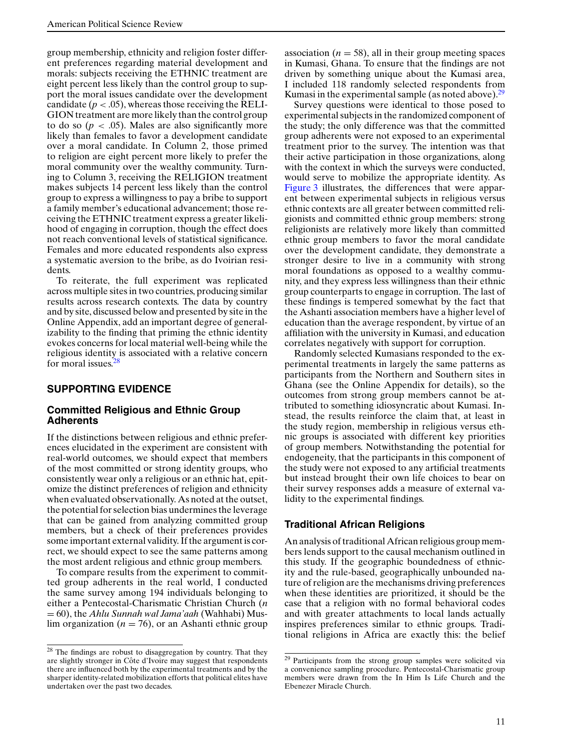group membership, ethnicity and religion foster different preferences regarding material development and morals: subjects receiving the ETHNIC treatment are eight percent less likely than the control group to support the moral issues candidate over the development candidate ( $p < .05$ ), whereas those receiving the RELI-GION treatment are more likely than the control group to do so  $(p < .05)$ . Males are also significantly more likely than females to favor a development candidate over a moral candidate. In Column 2, those primed to religion are eight percent more likely to prefer the moral community over the wealthy community. Turning to Column 3, receiving the RELIGION treatment makes subjects 14 percent less likely than the control group to express a willingness to pay a bribe to support a family member's educational advancement; those receiving the ETHNIC treatment express a greater likelihood of engaging in corruption, though the effect does not reach conventional levels of statistical significance. Females and more educated respondents also express a systematic aversion to the bribe, as do Ivoirian residents.

To reiterate, the full experiment was replicated across multiple sites in two countries, producing similar results across research contexts. The data by country and by site, discussed below and presented by site in the Online Appendix, add an important degree of generalizability to the finding that priming the ethnic identity evokes concerns for local material well-being while the religious identity is associated with a relative concern for moral issues. $^{28}$ 

#### **SUPPORTING EVIDENCE**

#### **Committed Religious and Ethnic Group Adherents**

If the distinctions between religious and ethnic preferences elucidated in the experiment are consistent with real-world outcomes, we should expect that members of the most committed or strong identity groups, who consistently wear only a religious or an ethnic hat, epitomize the distinct preferences of religion and ethnicity when evaluated observationally. As noted at the outset, the potential for selection bias undermines the leverage that can be gained from analyzing committed group members, but a check of their preferences provides some important external validity. If the argument is correct, we should expect to see the same patterns among the most ardent religious and ethnic group members.

To compare results from the experiment to committed group adherents in the real world, I conducted the same survey among 194 individuals belonging to either a Pentecostal-Charismatic Christian Church (*n* = 60), the *Ahlu Sunnah wal Jama'aah* (Wahhabi) Muslim organization ( $n = 76$ ), or an Ashanti ethnic group association ( $n = 58$ ), all in their group meeting spaces in Kumasi, Ghana. To ensure that the findings are not driven by something unique about the Kumasi area, I included 118 randomly selected respondents from Kumasi in the experimental sample (as noted above). $29$ 

Survey questions were identical to those posed to experimental subjects in the randomized component of the study; the only difference was that the committed group adherents were not exposed to an experimental treatment prior to the survey. The intention was that their active participation in those organizations, along with the context in which the surveys were conducted, would serve to mobilize the appropriate identity. As [Figure 3](#page-11-0) illustrates, the differences that were apparent between experimental subjects in religious versus ethnic contexts are all greater between committed religionists and committed ethnic group members: strong religionists are relatively more likely than committed ethnic group members to favor the moral candidate over the development candidate, they demonstrate a stronger desire to live in a community with strong moral foundations as opposed to a wealthy community, and they express less willingness than their ethnic group counterparts to engage in corruption. The last of these findings is tempered somewhat by the fact that the Ashanti association members have a higher level of education than the average respondent, by virtue of an affiliation with the university in Kumasi, and education correlates negatively with support for corruption.

Randomly selected Kumasians responded to the experimental treatments in largely the same patterns as participants from the Northern and Southern sites in Ghana (see the Online Appendix for details), so the outcomes from strong group members cannot be attributed to something idiosyncratic about Kumasi. Instead, the results reinforce the claim that, at least in the study region, membership in religious versus ethnic groups is associated with different key priorities of group members. Notwithstanding the potential for endogeneity, that the participants in this component of the study were not exposed to any artificial treatments but instead brought their own life choices to bear on their survey responses adds a measure of external validity to the experimental findings.

#### **Traditional African Religions**

An analysis of traditional African religious group members lends support to the causal mechanism outlined in this study. If the geographic boundedness of ethnicity and the rule-based, geographically unbounded nature of religion are the mechanisms driving preferences when these identities are prioritized, it should be the case that a religion with no formal behavioral codes and with greater attachments to local lands actually inspires preferences similar to ethnic groups. Traditional religions in Africa are exactly this: the belief

<sup>28</sup> The findings are robust to disaggregation by country. That they are slightly stronger in Côte d'Ivoire may suggest that respondents there are influenced both by the experimental treatments and by the sharper identity-related mobilization efforts that political elites have undertaken over the past two decades.

<sup>&</sup>lt;sup>29</sup> Participants from the strong group samples were solicited via a convenience sampling procedure. Pentecostal-Charismatic group members were drawn from the In Him Is Life Church and the Ebenezer Miracle Church.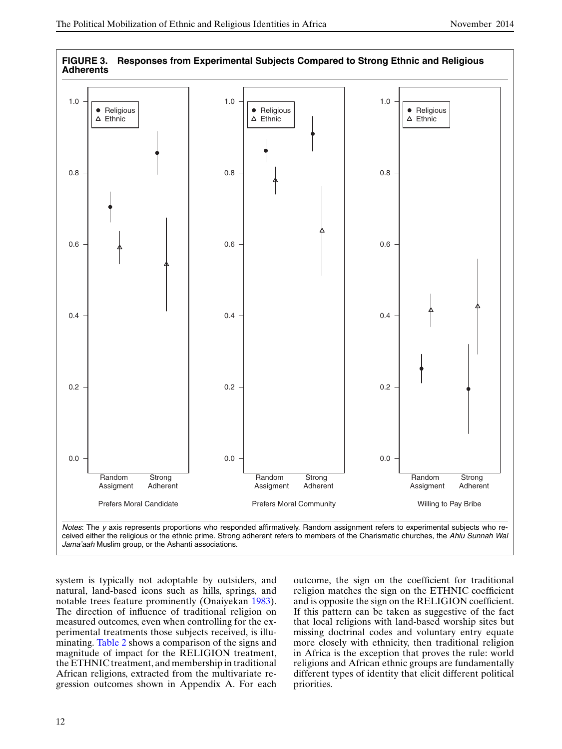<span id="page-11-0"></span>

system is typically not adoptable by outsiders, and natural, land-based icons such as hills, springs, and notable trees feature prominently (Onaiyekan [1983\)](#page-14-0). The direction of influence of traditional religion on measured outcomes, even when controlling for the experimental treatments those subjects received, is illu-minating. [Table 2](#page-12-0) shows a comparison of the signs and magnitude of impact for the RELIGION treatment, the ETHNIC treatment, and membership in traditional African religions, extracted from the multivariate regression outcomes shown in Appendix A. For each outcome, the sign on the coefficient for traditional religion matches the sign on the ETHNIC coefficient and is opposite the sign on the RELIGION coefficient. If this pattern can be taken as suggestive of the fact that local religions with land-based worship sites but missing doctrinal codes and voluntary entry equate more closely with ethnicity, then traditional religion in Africa is the exception that proves the rule: world religions and African ethnic groups are fundamentally different types of identity that elicit different political priorities.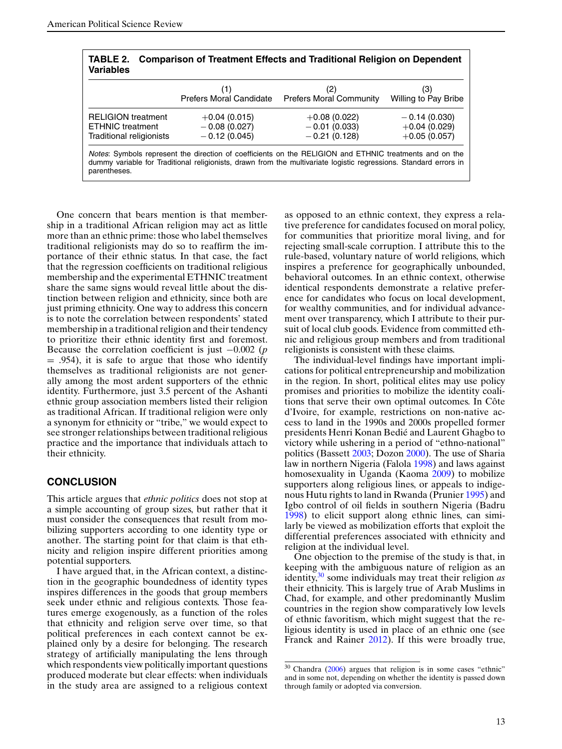<span id="page-12-0"></span>

| <b>Variables</b>                                                                                                                                                                                                                             |                         | (2)                            |                      |  |  |  |
|----------------------------------------------------------------------------------------------------------------------------------------------------------------------------------------------------------------------------------------------|-------------------------|--------------------------------|----------------------|--|--|--|
|                                                                                                                                                                                                                                              | Prefers Moral Candidate | <b>Prefers Moral Community</b> | Willing to Pay Bribe |  |  |  |
| <b>RELIGION</b> treatment                                                                                                                                                                                                                    | $+0.04(0.015)$          | $+0.08(0.022)$                 | $-0.14(0.030)$       |  |  |  |
| <b>ETHNIC</b> treatment                                                                                                                                                                                                                      | $-0.08(0.027)$          | $-0.01(0.033)$                 | $+0.04(0.029)$       |  |  |  |
| Traditional religionists                                                                                                                                                                                                                     | $-0.12(0.045)$          | $-0.21(0.128)$                 | $+0.05(0.057)$       |  |  |  |
| Notes: Symbols represent the direction of coefficients on the RELIGION and ETHNIC treatments and on the<br>dummy variable for Traditional religionists, drawn from the multivariate logistic regressions. Standard errors in<br>parentheses. |                         |                                |                      |  |  |  |

One concern that bears mention is that membership in a traditional African religion may act as little more than an ethnic prime: those who label themselves traditional religionists may do so to reaffirm the importance of their ethnic status. In that case, the fact that the regression coefficients on traditional religious membership and the experimental ETHNIC treatment share the same signs would reveal little about the distinction between religion and ethnicity, since both are just priming ethnicity. One way to address this concern is to note the correlation between respondents' stated membership in a traditional religion and their tendency to prioritize their ethnic identity first and foremost. Because the correlation coefficient is just −0.002 (*p*  $=$  .954), it is safe to argue that those who identify themselves as traditional religionists are not generally among the most ardent supporters of the ethnic identity. Furthermore, just 3.5 percent of the Ashanti ethnic group association members listed their religion as traditional African. If traditional religion were only a synonym for ethnicity or "tribe," we would expect to see stronger relationships between traditional religious practice and the importance that individuals attach to their ethnicity.

## **CONCLUSION**

This article argues that *ethnic politics* does not stop at a simple accounting of group sizes, but rather that it must consider the consequences that result from mobilizing supporters according to one identity type or another. The starting point for that claim is that ethnicity and religion inspire different priorities among potential supporters.

I have argued that, in the African context, a distinction in the geographic boundedness of identity types inspires differences in the goods that group members seek under ethnic and religious contexts. Those features emerge exogenously, as a function of the roles that ethnicity and religion serve over time, so that political preferences in each context cannot be explained only by a desire for belonging. The research strategy of artificially manipulating the lens through which respondents view politically important questions produced moderate but clear effects: when individuals in the study area are assigned to a religious context as opposed to an ethnic context, they express a relative preference for candidates focused on moral policy, for communities that prioritize moral living, and for rejecting small-scale corruption. I attribute this to the rule-based, voluntary nature of world religions, which inspires a preference for geographically unbounded, behavioral outcomes. In an ethnic context, otherwise identical respondents demonstrate a relative preference for candidates who focus on local development, for wealthy communities, and for individual advancement over transparency, which I attribute to their pursuit of local club goods. Evidence from committed ethnic and religious group members and from traditional religionists is consistent with these claims.

The individual-level findings have important implications for political entrepreneurship and mobilization in the region. In short, political elites may use policy promises and priorities to mobilize the identity coalitions that serve their own optimal outcomes. In Côte d'Ivoire, for example, restrictions on non-native access to land in the 1990s and 2000s propelled former presidents Henri Konan Bedie and Laurent Ghagbo to ´ victory while ushering in a period of "ethno-national" politics (Bassett [2003;](#page-14-0) Dozon [2000\)](#page-14-0). The use of Sharia law in northern Nigeria (Falola [1998\)](#page-14-0) and laws against homosexuality in Uganda (Kaoma [2009\)](#page-14-0) to mobilize supporters along religious lines, or appeals to indigenous Hutu rights to land in Rwanda (Prunier [1995\)](#page-14-0) and Igbo control of oil fields in southern Nigeria (Badru [1998\)](#page-14-0) to elicit support along ethnic lines, can similarly be viewed as mobilization efforts that exploit the differential preferences associated with ethnicity and religion at the individual level.

One objection to the premise of the study is that, in keeping with the ambiguous nature of religion as an identity,30 some individuals may treat their religion *as* their ethnicity. This is largely true of Arab Muslims in Chad, for example, and other predominantly Muslim countries in the region show comparatively low levels of ethnic favoritism, which might suggest that the religious identity is used in place of an ethnic one (see Franck and Rainer [2012\)](#page-14-0). If this were broadly true,

<sup>30</sup> Chandra [\(2006\)](#page-14-0) argues that religion is in some cases "ethnic" and in some not, depending on whether the identity is passed down through family or adopted via conversion.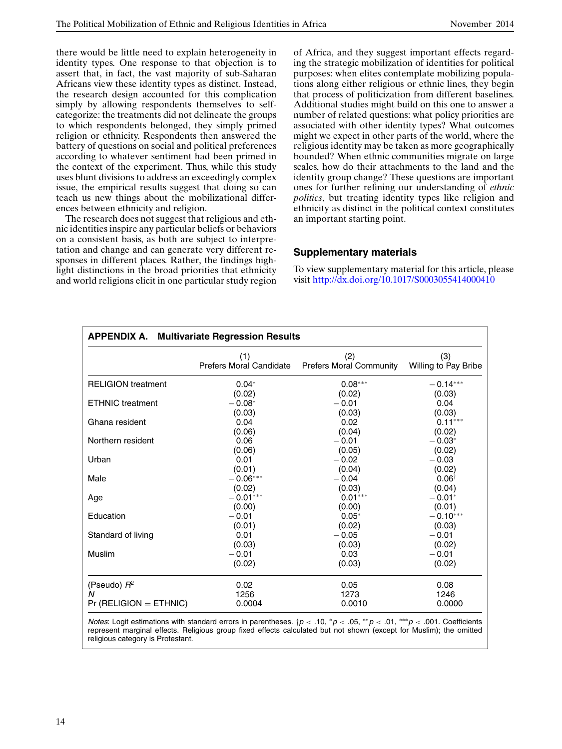there would be little need to explain heterogeneity in identity types. One response to that objection is to assert that, in fact, the vast majority of sub-Saharan Africans view these identity types as distinct. Instead, the research design accounted for this complication simply by allowing respondents themselves to selfcategorize: the treatments did not delineate the groups to which respondents belonged, they simply primed religion or ethnicity. Respondents then answered the battery of questions on social and political preferences according to whatever sentiment had been primed in the context of the experiment. Thus, while this study uses blunt divisions to address an exceedingly complex issue, the empirical results suggest that doing so can teach us new things about the mobilizational differences between ethnicity and religion.

The research does not suggest that religious and ethnic identities inspire any particular beliefs or behaviors on a consistent basis, as both are subject to interpretation and change and can generate very different responses in different places. Rather, the findings highlight distinctions in the broad priorities that ethnicity and world religions elicit in one particular study region of Africa, and they suggest important effects regarding the strategic mobilization of identities for political purposes: when elites contemplate mobilizing populations along either religious or ethnic lines, they begin that process of politicization from different baselines. Additional studies might build on this one to answer a number of related questions: what policy priorities are associated with other identity types? What outcomes might we expect in other parts of the world, where the religious identity may be taken as more geographically bounded? When ethnic communities migrate on large scales, how do their attachments to the land and the identity group change? These questions are important ones for further refining our understanding of *ethnic politics*, but treating identity types like religion and ethnicity as distinct in the political context constitutes an important starting point.

## **Supplementary materials**

To view supplementary material for this article, please visit <http://dx.doi.org/10.1017/S0003055414000410>

| <b>APPENDIX A. Multivariate Regression Results</b> |                                |                                       |                             |  |  |  |  |
|----------------------------------------------------|--------------------------------|---------------------------------------|-----------------------------|--|--|--|--|
|                                                    | (1)<br>Prefers Moral Candidate | (2)<br><b>Prefers Moral Community</b> | (3)<br>Willing to Pay Bribe |  |  |  |  |
| <b>RELIGION treatment</b>                          | $0.04*$                        | $0.08***$                             | $-0.14***$                  |  |  |  |  |
|                                                    | (0.02)                         | (0.02)                                | (0.03)                      |  |  |  |  |
| <b>ETHNIC</b> treatment                            | $-0.08*$                       | $-0.01$                               | 0.04                        |  |  |  |  |
|                                                    | (0.03)                         | (0.03)                                | (0.03)                      |  |  |  |  |
| Ghana resident                                     | 0.04                           | 0.02                                  | $0.11***$                   |  |  |  |  |
|                                                    | (0.06)                         | (0.04)                                | (0.02)                      |  |  |  |  |
| Northern resident                                  | 0.06                           | $-0.01$                               | $-0.03*$                    |  |  |  |  |
|                                                    | (0.06)                         | (0.05)                                | (0.02)                      |  |  |  |  |
| Urban                                              | 0.01                           | $-0.02$                               | $-0.03$                     |  |  |  |  |
|                                                    | (0.01)                         | (0.04)                                | (0.02)                      |  |  |  |  |
| Male                                               | $-0.06***$                     | $-0.04$                               | $0.06^{\dagger}$            |  |  |  |  |
|                                                    | (0.02)                         | (0.03)                                | (0.04)                      |  |  |  |  |
| Age                                                | $-0.01***$                     | $0.01***$                             | $-0.01*$                    |  |  |  |  |
|                                                    | (0.00)                         | (0.00)                                | (0.01)                      |  |  |  |  |
| Education                                          | $-0.01$                        | $0.05*$                               | $-0.10***$                  |  |  |  |  |
|                                                    | (0.01)                         | (0.02)                                | (0.03)                      |  |  |  |  |
| Standard of living                                 | 0.01                           | $-0.05$                               | $-0.01$                     |  |  |  |  |
|                                                    | (0.03)                         | (0.03)                                | (0.02)                      |  |  |  |  |
| Muslim                                             | $-0.01$                        | 0.03                                  | $-0.01$                     |  |  |  |  |
|                                                    | (0.02)                         | (0.03)                                | (0.02)                      |  |  |  |  |
| (Pseudo) $R^2$                                     | 0.02                           | 0.05                                  | 0.08                        |  |  |  |  |
| N                                                  | 1256                           | 1273                                  | 1246                        |  |  |  |  |
| $Pr(RELIGION = ETHNIC)$                            | 0.0004                         | 0.0010                                | 0.0000                      |  |  |  |  |

*Notes*: Logit estimations with standard errors in parentheses. †*p* < .10, <sup>∗</sup>*p* < .05, ∗∗*p* < .01, ∗∗∗*p* < .001. Coefficients represent marginal effects. Religious group fixed effects calculated but not shown (except for Muslim); the omitted religious category is Protestant.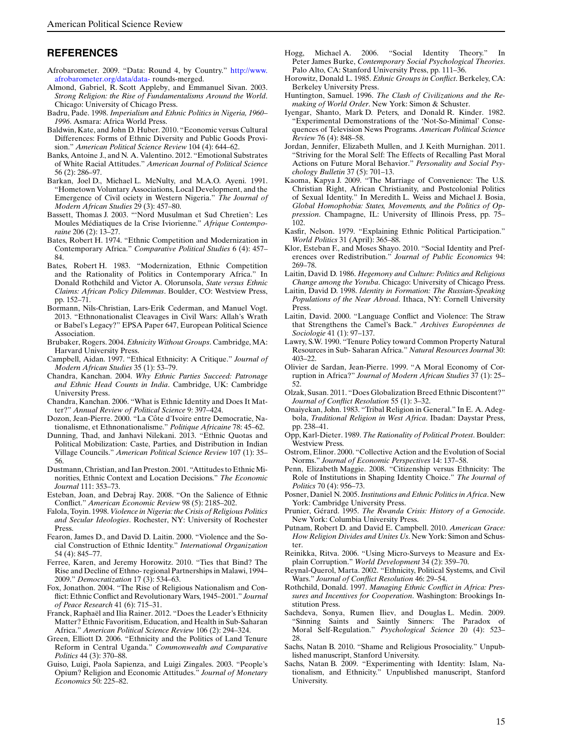#### <span id="page-14-0"></span>**REFERENCES**

- Afrobarometer. 2009. "Data: Round 4, by Country." [http://www.](http://www.afrobarometer.org/data/data-) [afrobarometer.org/data/data-](http://www.afrobarometer.org/data/data-) rounds-merged.
- Almond, Gabriel, R. Scott Appleby, and Emmanuel Sivan. 2003. *Strong Religion: the Rise of Fundamentalisms Around the World*. Chicago: University of Chicago Press.
- Badru, Pade. 1998. *Imperialism and Ethnic Politics in Nigeria, 1960– 1996*. Asmara: Africa World Press.
- Baldwin, Kate, and John D. Huber. 2010. "Economic versus Cultural Differences: Forms of Ethnic Diversity and Public Goods Provision." *American Political Science Review* 104 (4): 644–62.
- Banks, Antoine J., and N. A. Valentino. 2012. "Emotional Substrates of White Racial Attitudes." *American Journal of Political Science* 56 (2): 286–97.
- Barkan, Joel D., Michael L. McNulty, and M.A.O. Ayeni. 1991. "Hometown Voluntary Associations, Local Development, and the Emergence of Civil ociety in Western Nigeria." *The Journal of Modern African Studies* 29 (3): 457–80.
- Bassett, Thomas J. 2003. "'Nord Musulman et Sud Chretien': Les Moules Médiatiques de la Crise Iviorienne." Afrique Contempo*raine* 206 (2): 13–27.
- Bates, Robert H. 1974. "Ethnic Competition and Modernization in Contemporary Africa." *Comparative Political Studies* 6 (4): 457– 84.
- Bates, Robert H. 1983. "Modernization, Ethnic Competition and the Rationality of Politics in Contemporary Africa." In Donald Rothchild and Victor A. Olorunsola, *State versus Ethnic Claims: African Policy Dilemmas*. Boulder, CO: Westview Press, pp. 152–71.
- Bormann, Nils-Christian, Lars-Erik Cederman, and Manuel Vogt. 2013. "Ethnonationalist Cleavages in Civil Wars: Allah's Wrath or Babel's Legacy?" EPSA Paper 647, European Political Science Association.
- Brubaker, Rogers. 2004. *Ethnicity Without Groups*. Cambridge, MA: Harvard University Press.
- Campbell, Aidan. 1997. "Ethical Ethnicity: A Critique." *Journal of Modern African Studies* 35 (1): 53–79.
- Chandra, Kanchan. 2004. *Why Ethnic Parties Succeed: Patronage and Ethnic Head Counts in India*. Cambridge, UK: Cambridge University Press.
- Chandra, Kanchan. 2006. "What is Ethnic Identity and Does It Matter?" *Annual Review of Political Science* 9: 397–424.
- Dozon, Jean-Pierre. 2000. "La Côte d'Ivoire entre Democratie, Nationalisme, et Ethnonationalisme." *Politique Africaine* 78: 45–62.
- Dunning, Thad, and Janhavi Nilekani. 2013. "Ethnic Quotas and Political Mobilization: Caste, Parties, and Distribution in Indian Village Councils." *American Political Science Review* 107 (1): 35– 56.
- Dustmann, Christian, and Ian Preston. 2001. "Attitudes to Ethnic Minorities, Ethnic Context and Location Decisions." *The Economic Journal* 111: 353–73.
- Esteban, Joan, and Debraj Ray. 2008. "On the Salience of Ethnic Conflict." *American Economic Review* 98 (5): 2185–202.
- Falola, Toyin. 1998. *Violence in Nigeria: the Crisis of Religious Politics and Secular Ideologies*. Rochester, NY: University of Rochester Press.
- Fearon, James D., and David D. Laitin. 2000. "Violence and the Social Construction of Ethnic Identity." *International Organization* 54 (4): 845–77.
- Ferree, Karen, and Jeremy Horowitz. 2010. "Ties that Bind? The Rise and Decline of Ethno- regional Partnerships in Malawi, 1994– 2009." *Democratization* 17 (3): 534–63.
- Fox, Jonathon. 2004. "The Rise of Religious Nationalism and Conflict: Ethnic Conflict and Revolutionary Wars, 1945–2001." *Journal of Peace Research* 41 (6): 715–31.
- Franck, Raphaël and Ilia Rainer. 2012. "Does the Leader's Ethnicity Matter? Ethnic Favoritism, Education, and Health in Sub-Saharan Africa." *American Political Science Review* 106 (2): 294–324.
- Green, Elliott D. 2006. "Ethnicity and the Politics of Land Tenure Reform in Central Uganda." *Commonwealth and Comparative Politics* 44 (3): 370–88.
- Guiso, Luigi, Paola Sapienza, and Luigi Zingales. 2003. "People's Opium? Religion and Economic Attitudes." *Journal of Monetary Economics* 50: 225–82.
- Hogg, Michael A. 2006. "Social Identity Theory." In Peter James Burke, *Contemporary Social Psychological Theories*. Palo Alto, CA: Stanford University Press, pp. 111–36.
- Horowitz, Donald L. 1985. *Ethnic Groups in Conflict*. Berkeley, CA: Berkeley University Press.
- Huntington, Samuel. 1996. *The Clash of Civilizations and the Remaking of World Order*. New York: Simon & Schuster.
- Iyengar, Shanto, Mark D. Peters, and Donald R. Kinder. 1982. "Experimental Demonstrations of the 'Not-So-Minimal' Consequences of Television News Programs. *American Political Science Review* 76 (4): 848–58.
- Jordan, Jennifer, Elizabeth Mullen, and J. Keith Murnighan. 2011. "Striving for the Moral Self: The Effects of Recalling Past Moral Actions on Future Moral Behavior." *Personality and Social Psychology Bulletin* 37 (5): 701–13.
- Kaoma, Kapya J. 2009. "The Marriage of Convenience: The U.S. Christian Right, African Christianity, and Postcolonial Politics of Sexual Identity." In Meredith L. Weiss and Michael J. Bosia, *Global Homophobia: States, Movements, and the Politics of Oppression*. Champagne, IL: University of Illinois Press, pp. 75– 102.
- Kasfir, Nelson. 1979. "Explaining Ethnic Political Participation." *World Politics* 31 (April): 365–88.
- Klor, Esteban F., and Moses Shayo. 2010. "Social Identity and Preferences over Redistribution." *Journal of Public Economics* 94: 269–78.
- Laitin, David D. 1986. *Hegemony and Culture: Politics and Religious Change among the Yoruba*. Chicago: University of Chicago Press.
- Laitin, David D. 1998. *Identity in Formation: The Russian-Speaking Populations of the Near Abroad*. Ithaca, NY: Cornell University Press.
- Laitin, David. 2000. "Language Conflict and Violence: The Straw that Strengthens the Camel's Back." *Archives Européennes de Sociologie* 41 (1): 97–137.
- Lawry, S.W. 1990. "Tenure Policy toward Common Property Natural Resources in Sub- Saharan Africa." *Natural Resources Journal* 30: 403–22.
- Olivier de Sardan, Jean-Pierre. 1999. "A Moral Economy of Corruption in Africa?" *Journal of Modern African Studies* 37 (1): 25– 52.
- Olzak, Susan. 2011. "Does Globalization Breed Ethnic Discontent?" *Journal of Conflict Resolution* 55 (1): 3–32.
- Onaiyekan, John. 1983. "Tribal Religion in General." In E. A. Adegbola, *Traditional Religion in West Africa*. Ibadan: Daystar Press, pp. 238–41.
- Opp, Karl-Dieter. 1989. *The Rationality of Political Protest*. Boulder: Westview Press.
- Ostrom, Elinor. 2000. "Collective Action and the Evolution of Social Norms." *Journal of Economic Perspectives* 14: 137–58.
- Penn, Elizabeth Maggie. 2008. "Citizenship versus Ethnicity: The Role of Institutions in Shaping Identity Choice." *The Journal of Politics* 70 (4): 956–73.
- Posner, Daniel N. 2005.*Institutions and Ethnic Politics in Africa*. New York: Cambridge University Press.
- Prunier, Gérard. 1995. The Rwanda Crisis: History of a Genocide. New York: Columbia University Press.
- Putnam, Robert D. and David E. Campbell. 2010. *American Grace: How Religion Divides and Unites Us*. New York: Simon and Schuster.
- Reinikka, Ritva. 2006. "Using Micro-Surveys to Measure and Explain Corruption." *World Development* 34 (2): 359–70.
- Reynal-Querol, Marta. 2002. "Ethnicity, Political Systems, and Civil Wars." *Journal of Conflict Resolution* 46: 29–54.
- Rothchild, Donald. 1997. *Managing Ethnic Conflict in Africa: Pressures and Incentives for Cooperation*. Washington: Brookings Institution Press.
- Sachdeva, Sonya, Rumen Iliev, and Douglas L. Medin. 2009. "Sinning Saints and Saintly Sinners: The Paradox of Moral Self-Regulation." *Psychological Science* 20 (4): 523– 28.
- Sachs, Natan B. 2010. "Shame and Religious Prosociality." Unpublished manuscript, Stanford University.
- Sachs, Natan B. 2009. "Experimenting with Identity: Islam, Nationalism, and Ethnicity." Unpublished manuscript, Stanford University.